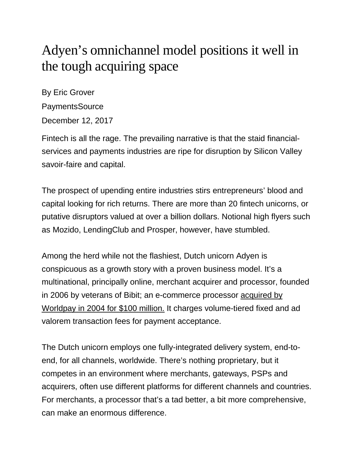## Adyen's omnichannel model positions it well in the tough acquiring space

By Eric Grover PaymentsSource December 12, 2017

Fintech is all the rage. The prevailing narrative is that the staid financialservices and payments industries are ripe for disruption by Silicon Valley savoir-faire and capital.

The prospect of upending entire industries stirs entrepreneurs' blood and capital looking for rich returns. There are more than 20 fintech unicorns, or putative disruptors valued at over a billion dollars. Notional high flyers such as Mozido, LendingClub and Prosper, however, have stumbled.

Among the herd while not the flashiest, Dutch unicorn Adyen is conspicuous as a growth story with a proven business model. It's a multinational, principally online, merchant acquirer and processor, founded in 2006 by veterans of Bibit; an e-commerce processor [acquired by](https://www.forbes.com/sites/stevenbertoni/2016/01/20/meet-adyen-the-little-known-unicorn-collecting-cash-for-nextflix-uber-spotify-and-facebook/#37d860a5d26c)  [Worldpay in 2004 for \\$100 million.](https://www.forbes.com/sites/stevenbertoni/2016/01/20/meet-adyen-the-little-known-unicorn-collecting-cash-for-nextflix-uber-spotify-and-facebook/#37d860a5d26c) It charges volume-tiered fixed and ad valorem transaction fees for payment acceptance.

The Dutch unicorn employs one fully-integrated delivery system, end-toend, for all channels, worldwide. There's nothing proprietary, but it competes in an environment where merchants, gateways, PSPs and acquirers, often use different platforms for different channels and countries. For merchants, a processor that's a tad better, a bit more comprehensive, can make an enormous difference.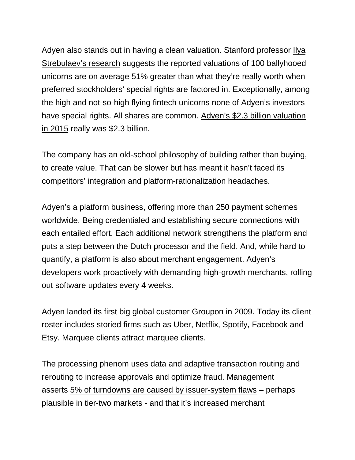Adyen also stands out in having a clean valuation. Stanford professor *Ilya* [Strebulaev's research](https://papers.ssrn.com/sol3/papers.cfm?abstract_id=2955455) suggests the reported valuations of 100 ballyhooed unicorns are on average 51% greater than what they're really worth when preferred stockholders' special rights are factored in. Exceptionally, among the high and not-so-high flying fintech unicorns none of Adyen's investors have special rights. All shares are common. [Adyen's \\$2.3 billion valuation](https://www.cnbc.com/2016/05/27/inside-adyen-the-2-billion-start-up-backed-by-mark-zuckerberg-silicon-valley-elite.html)  [in 2015](https://www.cnbc.com/2016/05/27/inside-adyen-the-2-billion-start-up-backed-by-mark-zuckerberg-silicon-valley-elite.html) really was \$2.3 billion.

The company has an old-school philosophy of building rather than buying, to create value. That can be slower but has meant it hasn't faced its competitors' integration and platform-rationalization headaches.

Adyen's a platform business, offering more than 250 payment schemes worldwide. Being credentialed and establishing secure connections with each entailed effort. Each additional network strengthens the platform and puts a step between the Dutch processor and the field. And, while hard to quantify, a platform is also about merchant engagement. Adyen's developers work proactively with demanding high-growth merchants, rolling out software updates every 4 weeks.

Adyen landed its first big global customer Groupon in 2009. Today its client roster includes storied firms such as Uber, Netflix, Spotify, Facebook and Etsy. Marquee clients attract marquee clients.

The processing phenom uses data and adaptive transaction routing and rerouting to increase approvals and optimize fraud. Management asserts [5% of turndowns are caused by issuer-system flaws](https://www.adyen.com/press-and-media/press-releases/press-release-detail/2016/adyen-launches-revenueaccelerate) – perhaps plausible in tier-two markets - and that it's increased merchant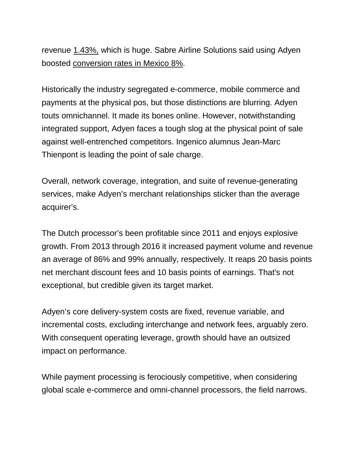revenue [1.43%,](https://www.adyen.com/press-and-media/press-releases/press-release-detail/2016/adyen-launches-revenueaccelerate) which is huge. Sabre Airline Solutions said using Adyen boosted [conversion rates in Mexico 8%.](https://www.finextra.com/pressarticle/66458/adyen-flies-high-with-sabre)

Historically the industry segregated e-commerce, mobile commerce and payments at the physical pos, but those distinctions are blurring. Adyen touts omnichannel. It made its bones online. However, notwithstanding integrated support, Adyen faces a tough slog at the physical point of sale against well-entrenched competitors. Ingenico alumnus Jean-Marc Thienpont is leading the point of sale charge.

Overall, network coverage, integration, and suite of revenue-generating services, make Adyen's merchant relationships sticker than the average acquirer's.

The Dutch processor's been profitable since 2011 and enjoys explosive growth. From 2013 through 2016 it increased payment volume and revenue an average of 86% and 99% annually, respectively. It reaps 20 basis points net merchant discount fees and 10 basis points of earnings. That's not exceptional, but credible given its target market.

Adyen's core delivery-system costs are fixed, revenue variable, and incremental costs, excluding interchange and network fees, arguably zero. With consequent operating leverage, growth should have an outsized impact on performance.

While payment processing is ferociously competitive, when considering global scale e-commerce and omni-channel processors, the field narrows.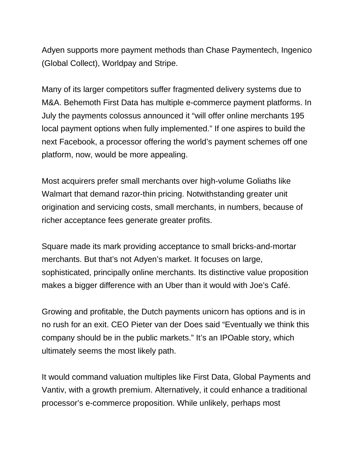Adyen supports more payment methods than Chase Paymentech, Ingenico (Global Collect), Worldpay and Stripe.

Many of its larger competitors suffer fragmented delivery systems due to M&A. Behemoth First Data has multiple e-commerce payment platforms. In July the payments colossus announced it "will offer online merchants 195 local payment options when fully implemented." If one aspires to build the next Facebook, a processor offering the world's payment schemes off one platform, now, would be more appealing.

Most acquirers prefer small merchants over high-volume Goliaths like Walmart that demand razor-thin pricing. Notwithstanding greater unit origination and servicing costs, small merchants, in numbers, because of richer acceptance fees generate greater profits.

Square made its mark providing acceptance to small bricks-and-mortar merchants. But that's not Adyen's market. It focuses on large, sophisticated, principally online merchants. Its distinctive value proposition makes a bigger difference with an Uber than it would with Joe's Café.

Growing and profitable, the Dutch payments unicorn has options and is in no rush for an exit. CEO Pieter van der Does said "Eventually we think this company should be in the public markets." It's an IPOable story, which ultimately seems the most likely path.

It would command valuation multiples like First Data, Global Payments and Vantiv, with a growth premium. Alternatively, it could enhance a traditional processor's e-commerce proposition. While unlikely, perhaps most